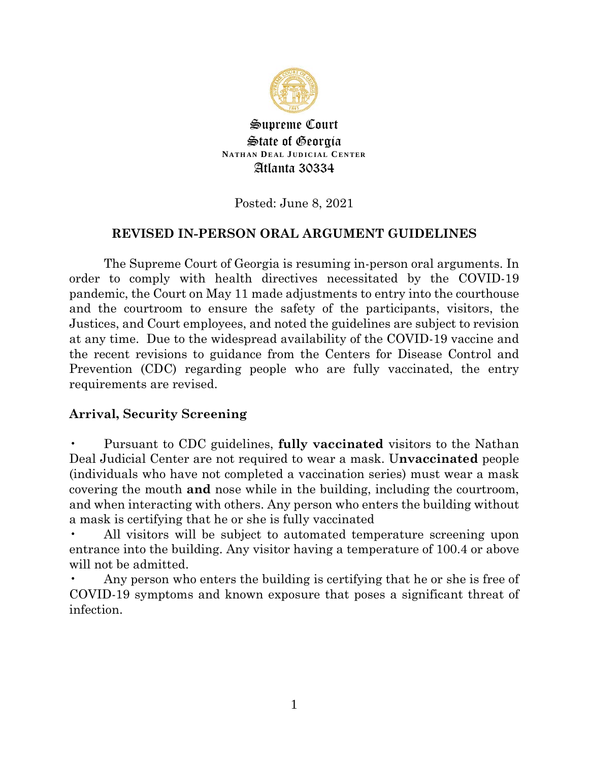

Supreme Court State of Georgia **NATHAN DEAL JUDICIAL CENTER** Atlanta 30334

Posted: June 8, 2021

## **REVISED IN-PERSON ORAL ARGUMENT GUIDELINES**

The Supreme Court of Georgia is resuming in-person oral arguments. In order to comply with health directives necessitated by the COVID-19 pandemic, the Court on May 11 made adjustments to entry into the courthouse and the courtroom to ensure the safety of the participants, visitors, the Justices, and Court employees, and noted the guidelines are subject to revision at any time. Due to the widespread availability of the COVID-19 vaccine and the recent revisions to guidance from the Centers for Disease Control and Prevention (CDC) regarding people who are fully vaccinated, the entry requirements are revised.

### **Arrival, Security Screening**

• Pursuant to CDC guidelines, **fully vaccinated** visitors to the Nathan Deal Judicial Center are not required to wear a mask. U**nvaccinated** people (individuals who have not completed a vaccination series) must wear a mask covering the mouth **and** nose while in the building, including the courtroom, and when interacting with others. Any person who enters the building without a mask is certifying that he or she is fully vaccinated

• All visitors will be subject to automated temperature screening upon entrance into the building. Any visitor having a temperature of 100.4 or above will not be admitted.

Any person who enters the building is certifying that he or she is free of COVID-19 symptoms and known exposure that poses a significant threat of infection.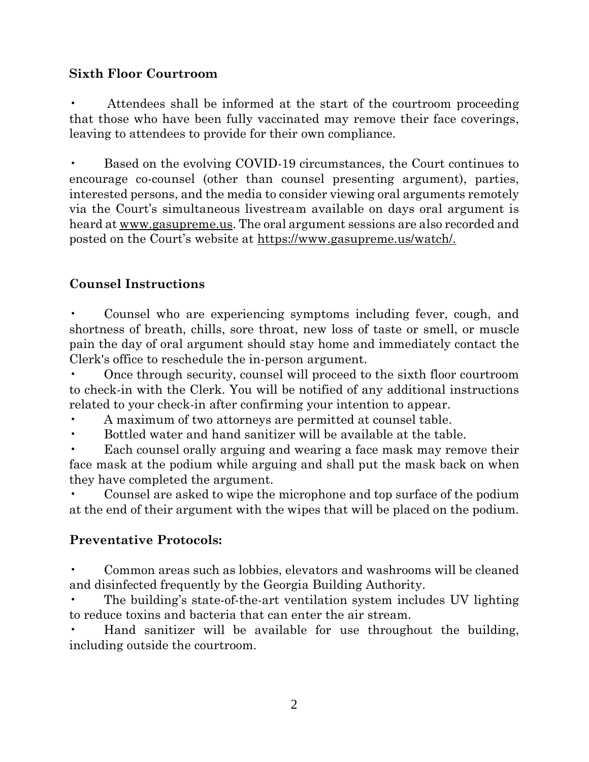## **Sixth Floor Courtroom**

• Attendees shall be informed at the start of the courtroom proceeding that those who have been fully vaccinated may remove their face coverings, leaving to attendees to provide for their own compliance.

• Based on the evolving COVID-19 circumstances, the Court continues to encourage co-counsel (other than counsel presenting argument), parties, interested persons, and the media to consider viewing oral arguments remotely via the Court's simultaneous livestream available on days oral argument is heard at www.gasupreme.us. The oral argument sessions are also recorded and posted on the Court's website at https://www.gasupreme.us/watch/.

# **Counsel Instructions**

• Counsel who are experiencing symptoms including fever, cough, and shortness of breath, chills, sore throat, new loss of taste or smell, or muscle pain the day of oral argument should stay home and immediately contact the Clerk's office to reschedule the in-person argument.

• Once through security, counsel will proceed to the sixth floor courtroom to check-in with the Clerk. You will be notified of any additional instructions related to your check-in after confirming your intention to appear.

• A maximum of two attorneys are permitted at counsel table.

• Bottled water and hand sanitizer will be available at the table.

Each counsel orally arguing and wearing a face mask may remove their face mask at the podium while arguing and shall put the mask back on when they have completed the argument.

• Counsel are asked to wipe the microphone and top surface of the podium at the end of their argument with the wipes that will be placed on the podium.

### **Preventative Protocols:**

• Common areas such as lobbies, elevators and washrooms will be cleaned and disinfected frequently by the Georgia Building Authority.

• The building's state-of-the-art ventilation system includes UV lighting to reduce toxins and bacteria that can enter the air stream.

• Hand sanitizer will be available for use throughout the building, including outside the courtroom.